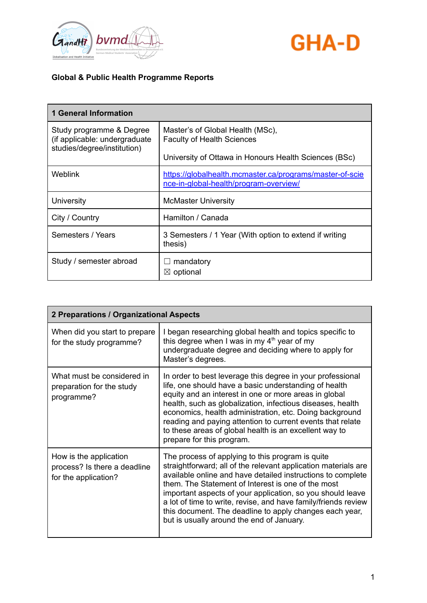



| <b>1 General Information</b>                                                             |                                                                                                    |
|------------------------------------------------------------------------------------------|----------------------------------------------------------------------------------------------------|
| Study programme & Degree<br>(if applicable: undergraduate<br>studies/degree/institution) | Master's of Global Health (MSc),<br><b>Faculty of Health Sciences</b>                              |
|                                                                                          | University of Ottawa in Honours Health Sciences (BSc)                                              |
| Weblink                                                                                  | https://globalhealth.mcmaster.ca/programs/master-of-scie<br>nce-in-global-health/program-overview/ |
| University                                                                               | <b>McMaster University</b>                                                                         |
| City / Country                                                                           | Hamilton / Canada                                                                                  |
| Semesters / Years                                                                        | 3 Semesters / 1 Year (With option to extend if writing<br>thesis)                                  |
| Study / semester abroad                                                                  | mandatory<br>$\boxtimes$ optional                                                                  |

| 2 Preparations / Organizational Aspects                                        |                                                                                                                                                                                                                                                                                                                                                                                                                                                                                 |
|--------------------------------------------------------------------------------|---------------------------------------------------------------------------------------------------------------------------------------------------------------------------------------------------------------------------------------------------------------------------------------------------------------------------------------------------------------------------------------------------------------------------------------------------------------------------------|
| When did you start to prepare<br>for the study programme?                      | I began researching global health and topics specific to<br>this degree when I was in my $4th$ year of my<br>undergraduate degree and deciding where to apply for<br>Master's degrees.                                                                                                                                                                                                                                                                                          |
| What must be considered in<br>preparation for the study<br>programme?          | In order to best leverage this degree in your professional<br>life, one should have a basic understanding of health<br>equity and an interest in one or more areas in global<br>health, such as globalization, infectious diseases, health<br>economics, health administration, etc. Doing background<br>reading and paying attention to current events that relate<br>to these areas of global health is an excellent way to<br>prepare for this program.                      |
| How is the application<br>process? Is there a deadline<br>for the application? | The process of applying to this program is quite<br>straightforward; all of the relevant application materials are<br>available online and have detailed instructions to complete<br>them. The Statement of Interest is one of the most<br>important aspects of your application, so you should leave<br>a lot of time to write, revise, and have family/friends review<br>this document. The deadline to apply changes each year,<br>but is usually around the end of January. |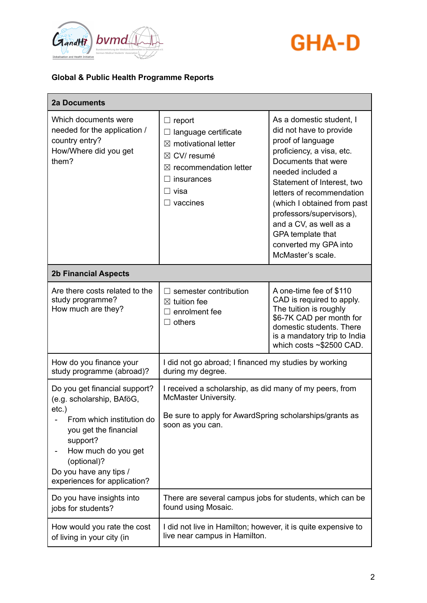



| <b>2a Documents</b>                                                                                                                                                                                                                      |                                                                                                                                                                          |                                                                                                                                                                                                                                                                                                                                                                      |
|------------------------------------------------------------------------------------------------------------------------------------------------------------------------------------------------------------------------------------------|--------------------------------------------------------------------------------------------------------------------------------------------------------------------------|----------------------------------------------------------------------------------------------------------------------------------------------------------------------------------------------------------------------------------------------------------------------------------------------------------------------------------------------------------------------|
| Which documents were<br>needed for the application /<br>country entry?<br>How/Where did you get<br>them?                                                                                                                                 | $\Box$ report<br>language certificate<br>$\boxtimes$ motivational letter<br>CV/resumé<br>⊠<br>$\boxtimes$ recommendation letter<br>insurances<br>visa<br>$\Box$ vaccines | As a domestic student, I<br>did not have to provide<br>proof of language<br>proficiency, a visa, etc.<br>Documents that were<br>needed included a<br>Statement of Interest, two<br>letters of recommendation<br>(which I obtained from past<br>professors/supervisors),<br>and a CV, as well as a<br>GPA template that<br>converted my GPA into<br>McMaster's scale. |
| <b>2b Financial Aspects</b>                                                                                                                                                                                                              |                                                                                                                                                                          |                                                                                                                                                                                                                                                                                                                                                                      |
| Are there costs related to the<br>study programme?<br>How much are they?                                                                                                                                                                 | semester contribution<br>$\boxtimes$ tuition fee<br>enrolment fee<br>$\Box$ others                                                                                       | A one-time fee of \$110<br>CAD is required to apply.<br>The tuition is roughly<br>\$6-7K CAD per month for<br>domestic students. There<br>is a mandatory trip to India<br>which costs $\sim$ \$2500 CAD.                                                                                                                                                             |
| How do you finance your<br>study programme (abroad)?                                                                                                                                                                                     | I did not go abroad; I financed my studies by working<br>during my degree.                                                                                               |                                                                                                                                                                                                                                                                                                                                                                      |
| Do you get financial support?<br>(e.g. scholarship, BAföG,<br>$etc.$ )<br>From which institution do<br>you get the financial<br>support?<br>How much do you get<br>(optional)?<br>Do you have any tips /<br>experiences for application? | I received a scholarship, as did many of my peers, from<br>McMaster University.<br>Be sure to apply for AwardSpring scholarships/grants as<br>soon as you can.           |                                                                                                                                                                                                                                                                                                                                                                      |
| Do you have insights into<br>jobs for students?                                                                                                                                                                                          | There are several campus jobs for students, which can be<br>found using Mosaic.                                                                                          |                                                                                                                                                                                                                                                                                                                                                                      |
| How would you rate the cost<br>of living in your city (in                                                                                                                                                                                | I did not live in Hamilton; however, it is quite expensive to<br>live near campus in Hamilton.                                                                           |                                                                                                                                                                                                                                                                                                                                                                      |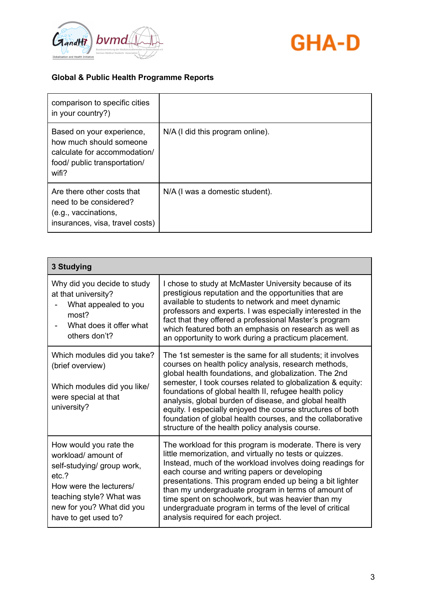



| comparison to specific cities<br>in your country?)                                                                            |                                  |
|-------------------------------------------------------------------------------------------------------------------------------|----------------------------------|
| Based on your experience,<br>how much should someone<br>calculate for accommodation/<br>food/ public transportation/<br>wifi? | N/A (I did this program online). |
| Are there other costs that<br>need to be considered?<br>(e.g., vaccinations,<br>insurances, visa, travel costs)               | N/A (I was a domestic student).  |

| <b>3 Studying</b>                                                                                                                                                                               |                                                                                                                                                                                                                                                                                                                                                                                                                                                                                                                                              |
|-------------------------------------------------------------------------------------------------------------------------------------------------------------------------------------------------|----------------------------------------------------------------------------------------------------------------------------------------------------------------------------------------------------------------------------------------------------------------------------------------------------------------------------------------------------------------------------------------------------------------------------------------------------------------------------------------------------------------------------------------------|
| Why did you decide to study<br>at that university?<br>What appealed to you<br>most?<br>What does it offer what<br>others don't?                                                                 | I chose to study at McMaster University because of its<br>prestigious reputation and the opportunities that are<br>available to students to network and meet dynamic<br>professors and experts. I was especially interested in the<br>fact that they offered a professional Master's program<br>which featured both an emphasis on research as well as<br>an opportunity to work during a practicum placement.                                                                                                                               |
| Which modules did you take?<br>(brief overview)<br>Which modules did you like/<br>were special at that<br>university?                                                                           | The 1st semester is the same for all students; it involves<br>courses on health policy analysis, research methods,<br>global health foundations, and globalization. The 2nd<br>semester, I took courses related to globalization & equity:<br>foundations of global health II, refugee health policy<br>analysis, global burden of disease, and global health<br>equity. I especially enjoyed the course structures of both<br>foundation of global health courses, and the collaborative<br>structure of the health policy analysis course. |
| How would you rate the<br>workload/amount of<br>self-studying/ group work,<br>etc.?<br>How were the lecturers/<br>teaching style? What was<br>new for you? What did you<br>have to get used to? | The workload for this program is moderate. There is very<br>little memorization, and virtually no tests or quizzes.<br>Instead, much of the workload involves doing readings for<br>each course and writing papers or developing<br>presentations. This program ended up being a bit lighter<br>than my undergraduate program in terms of amount of<br>time spent on schoolwork, but was heavier than my<br>undergraduate program in terms of the level of critical<br>analysis required for each project.                                   |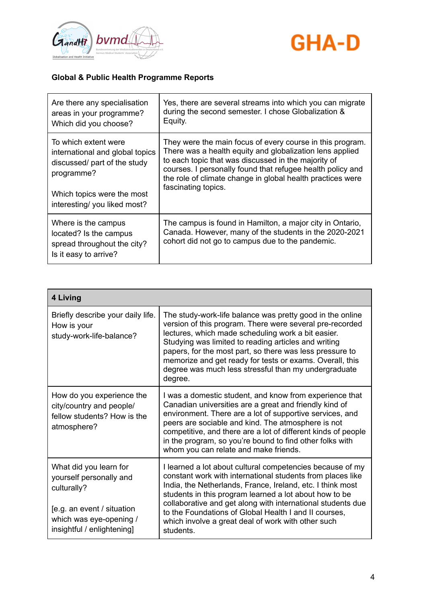



| Are there any specialisation                                                                          | Yes, there are several streams into which you can migrate                                                                                                               |
|-------------------------------------------------------------------------------------------------------|-------------------------------------------------------------------------------------------------------------------------------------------------------------------------|
| areas in your programme?                                                                              | during the second semester. I chose Globalization &                                                                                                                     |
| Which did you choose?                                                                                 | Equity.                                                                                                                                                                 |
| To which extent were                                                                                  | They were the main focus of every course in this program.                                                                                                               |
| international and global topics                                                                       | There was a health equity and globalization lens applied                                                                                                                |
| discussed/ part of the study                                                                          | to each topic that was discussed in the majority of                                                                                                                     |
| programme?                                                                                            | courses. I personally found that refugee health policy and                                                                                                              |
| Which topics were the most                                                                            | the role of climate change in global health practices were                                                                                                              |
| interesting/ you liked most?                                                                          | fascinating topics.                                                                                                                                                     |
| Where is the campus<br>located? Is the campus<br>spread throughout the city?<br>Is it easy to arrive? | The campus is found in Hamilton, a major city in Ontario,<br>Canada. However, many of the students in the 2020-2021<br>cohort did not go to campus due to the pandemic. |

| 4 Living                                                                                                                                                |                                                                                                                                                                                                                                                                                                                                                                                                                                            |  |
|---------------------------------------------------------------------------------------------------------------------------------------------------------|--------------------------------------------------------------------------------------------------------------------------------------------------------------------------------------------------------------------------------------------------------------------------------------------------------------------------------------------------------------------------------------------------------------------------------------------|--|
| Briefly describe your daily life.<br>How is your<br>study-work-life-balance?                                                                            | The study-work-life balance was pretty good in the online<br>version of this program. There were several pre-recorded<br>lectures, which made scheduling work a bit easier.<br>Studying was limited to reading articles and writing<br>papers, for the most part, so there was less pressure to<br>memorize and get ready for tests or exams. Overall, this<br>degree was much less stressful than my undergraduate<br>degree.             |  |
| How do you experience the<br>city/country and people/<br>fellow students? How is the<br>atmosphere?                                                     | I was a domestic student, and know from experience that<br>Canadian universities are a great and friendly kind of<br>environment. There are a lot of supportive services, and<br>peers are sociable and kind. The atmosphere is not<br>competitive, and there are a lot of different kinds of people<br>in the program, so you're bound to find other folks with<br>whom you can relate and make friends.                                  |  |
| What did you learn for<br>yourself personally and<br>culturally?<br>[e.g. an event / situation<br>which was eye-opening /<br>insightful / enlightening] | I learned a lot about cultural competencies because of my<br>constant work with international students from places like<br>India, the Netherlands, France, Ireland, etc. I think most<br>students in this program learned a lot about how to be<br>collaborative and get along with international students due<br>to the Foundations of Global Health I and II courses,<br>which involve a great deal of work with other such<br>students. |  |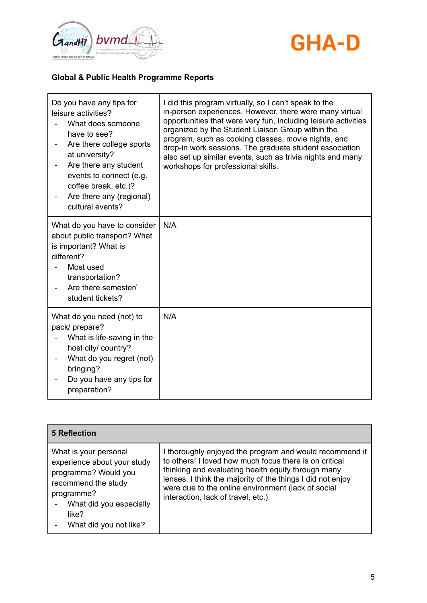



| Do you have any tips for<br>leisure activities?<br>What does someone<br>have to see?<br>Are there college sports<br>at university?<br>Are there any student<br>events to connect (e.g.<br>coffee break, etc.)?<br>Are there any (regional)<br>cultural events? | I did this program virtually, so I can't speak to the<br>in-person experiences. However, there were many virtual<br>opportunities that were very fun, including leisure activities<br>organized by the Student Liaison Group within the<br>program, such as cooking classes, movie nights, and<br>drop-in work sessions. The graduate student association<br>also set up similar events, such as trivia nights and many<br>workshops for professional skills. |
|----------------------------------------------------------------------------------------------------------------------------------------------------------------------------------------------------------------------------------------------------------------|---------------------------------------------------------------------------------------------------------------------------------------------------------------------------------------------------------------------------------------------------------------------------------------------------------------------------------------------------------------------------------------------------------------------------------------------------------------|
| What do you have to consider<br>about public transport? What<br>is important? What is<br>different?<br>Most used<br>transportation?<br>Are there semester/<br>student tickets?                                                                                 | N/A                                                                                                                                                                                                                                                                                                                                                                                                                                                           |
| What do you need (not) to<br>pack/ prepare?<br>What is life-saving in the<br>host city/ country?<br>What do you regret (not)<br>bringing?<br>Do you have any tips for<br>preparation?                                                                          | N/A                                                                                                                                                                                                                                                                                                                                                                                                                                                           |

| <b>5 Reflection</b>                                                                                                                                                             |                                                                                                                                                                                                                                                                                                                                    |
|---------------------------------------------------------------------------------------------------------------------------------------------------------------------------------|------------------------------------------------------------------------------------------------------------------------------------------------------------------------------------------------------------------------------------------------------------------------------------------------------------------------------------|
| What is your personal<br>experience about your study<br>programme? Would you<br>recommend the study<br>programme?<br>What did you especially<br>like?<br>What did you not like? | I thoroughly enjoyed the program and would recommend it<br>to others! I loved how much focus there is on critical<br>thinking and evaluating health equity through many<br>lenses. I think the majority of the things I did not enjoy<br>were due to the online environment (lack of social<br>interaction, lack of travel, etc.). |